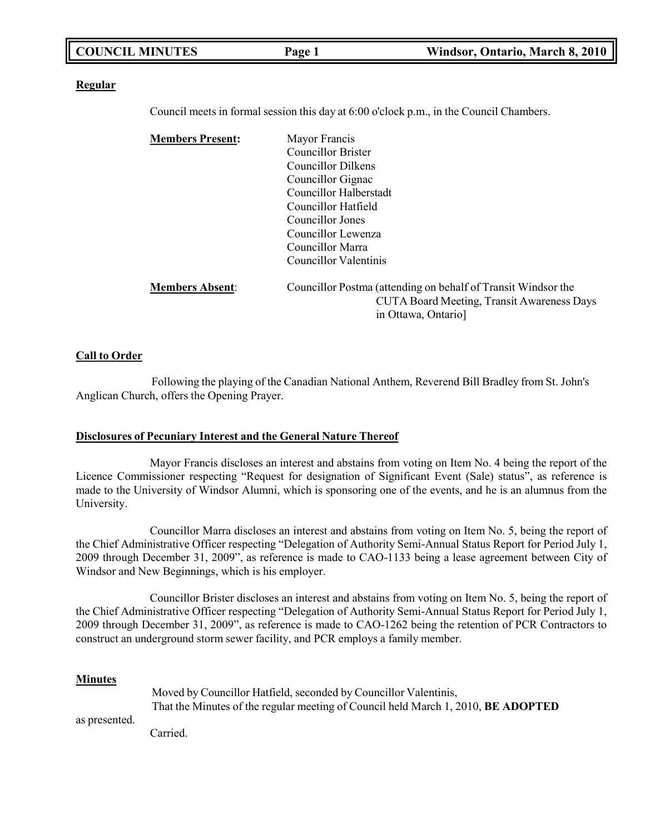|  | <b>COUNCIL MINUTES</b> | Page 1 | Windsor, Ontario, March 8, 2010 |
|--|------------------------|--------|---------------------------------|
|--|------------------------|--------|---------------------------------|

#### **Regular**

Council meets in formal session this day at 6:00 o'clock p.m., in the Council Chambers.

| <b>Members Present:</b> | Mayor Francis                                                 |  |
|-------------------------|---------------------------------------------------------------|--|
|                         | <b>Councillor Brister</b>                                     |  |
|                         | Councillor Dilkens                                            |  |
|                         | Councillor Gignac                                             |  |
|                         | <b>Councillor Halberstadt</b>                                 |  |
|                         | Councillor Hatfield                                           |  |
|                         | Councillor Jones<br>Councillor Lewenza<br>Councillor Marra    |  |
|                         |                                                               |  |
|                         |                                                               |  |
|                         | Councillor Valentinis                                         |  |
| <b>Members Absent:</b>  | Councillor Postma (attending on behalf of Transit Windsor the |  |
|                         | CUTA Board Meeting, Transit Awareness Days                    |  |
|                         | in Ottawa, Ontario]                                           |  |

#### **Call to Order**

Following the playing of the Canadian National Anthem, Reverend Bill Bradley from St. John's Anglican Church, offers the Opening Prayer.

#### **Disclosures of Pecuniary Interest and the General Nature Thereof**

Mayor Francis discloses an interest and abstains from voting on Item No. 4 being the report of the Licence Commissioner respecting "Request for designation of Significant Event (Sale) status", as reference is made to the University of Windsor Alumni, which is sponsoring one of the events, and he is an alumnus from the University.

Councillor Marra discloses an interest and abstains from voting on Item No. 5, being the report of the Chief Administrative Officer respecting "Delegation of Authority Semi-Annual Status Report for Period July 1, 2009 through December 31, 2009", as reference is made to CAO-1133 being a lease agreement between City of Windsor and New Beginnings, which is his employer.

Councillor Brister discloses an interest and abstains from voting on Item No. 5, being the report of the Chief Administrative Officer respecting "Delegation of Authority Semi-Annual Status Report for Period July 1, 2009 through December 31, 2009", as reference is made to CAO-1262 being the retention of PCR Contractors to construct an underground storm sewer facility, and PCR employs a family member.

#### **Minutes**

as presented.

Moved by Councillor Hatfield, seconded by Councillor Valentinis, That the Minutes of the regular meeting of Council held March 1, 2010, **BE ADOPTED**

Carried.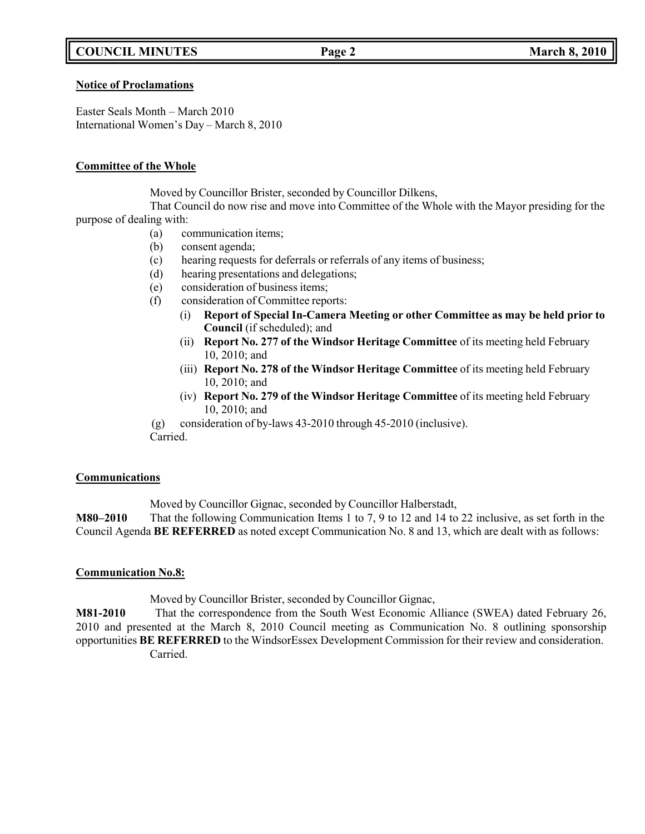# **COUNCIL MINUTES Page 2 March 8, 2010**

#### **Notice of Proclamations**

Easter Seals Month – March 2010 International Women's Day – March 8, 2010

### **Committee of the Whole**

Moved by Councillor Brister, seconded by Councillor Dilkens,

That Council do now rise and move into Committee of the Whole with the Mayor presiding for the purpose of dealing with:

- (a) communication items;
- (b) consent agenda;
- (c) hearing requests for deferrals or referrals of any items of business;
- (d) hearing presentations and delegations;
- (e) consideration of business items;
- (f) consideration of Committee reports:
	- (i) **Report of Special In-Camera Meeting or other Committee as may be held prior to Council** (if scheduled); and
	- (ii) **Report No. 277 of the Windsor Heritage Committee** of its meeting held February 10, 2010; and
	- (iii) **Report No. 278 of the Windsor Heritage Committee** of its meeting held February 10, 2010; and
	- (iv) **Report No. 279 of the Windsor Heritage Committee** of its meeting held February 10, 2010; and
- (g) consideration of by-laws 43-2010 through 45-2010 (inclusive). Carried.

### **Communications**

Moved by Councillor Gignac, seconded by Councillor Halberstadt,

**M80–2010** That the following Communication Items 1 to 7, 9 to 12 and 14 to 22 inclusive, as set forth in the Council Agenda **BE REFERRED** as noted except Communication No. 8 and 13, which are dealt with as follows:

## **Communication No.8:**

Moved by Councillor Brister, seconded by Councillor Gignac,

**M81-2010** That the correspondence from the South West Economic Alliance (SWEA) dated February 26, 2010 and presented at the March 8, 2010 Council meeting as Communication No. 8 outlining sponsorship opportunities **BE REFERRED** to the WindsorEssex Development Commission for their review and consideration. Carried.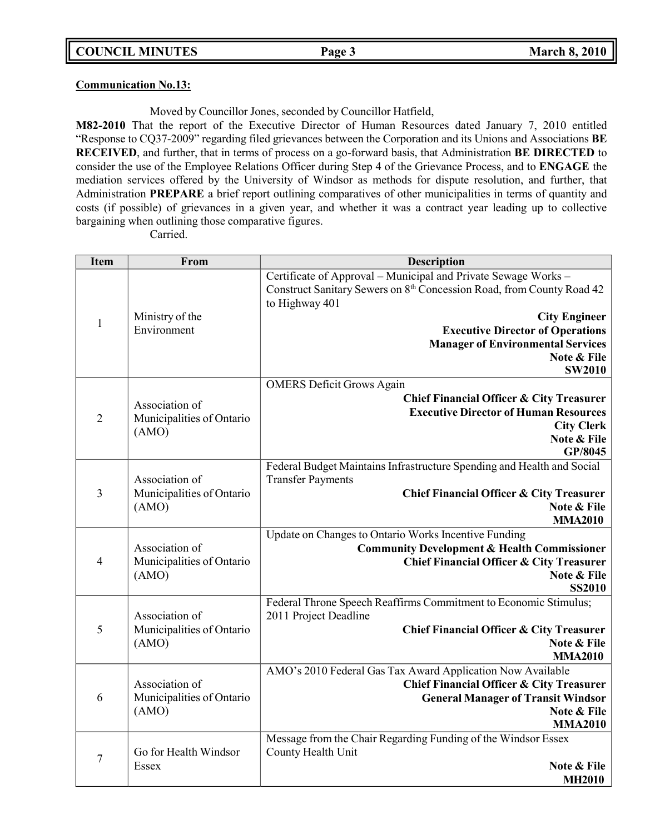### **Communication No.13:**

## Moved by Councillor Jones, seconded by Councillor Hatfield,

**M82-2010** That the report of the Executive Director of Human Resources dated January 7, 2010 entitled "Response to CQ37-2009" regarding filed grievances between the Corporation and its Unions and Associations **BE RECEIVED**, and further, that in terms of process on a go-forward basis, that Administration **BE DIRECTED** to consider the use of the Employee Relations Officer during Step 4 of the Grievance Process, and to **ENGAGE** the mediation services offered by the University of Windsor as methods for dispute resolution, and further, that Administration **PREPARE** a brief report outlining comparatives of other municipalities in terms of quantity and costs (if possible) of grievances in a given year, and whether it was a contract year leading up to collective bargaining when outlining those comparative figures.

Carried.

| <b>Item</b>    | From                               | Description                                                                                                                                               |
|----------------|------------------------------------|-----------------------------------------------------------------------------------------------------------------------------------------------------------|
|                |                                    | Certificate of Approval - Municipal and Private Sewage Works -<br>Construct Sanitary Sewers on 8th Concession Road, from County Road 42<br>to Highway 401 |
| $\mathbf{1}$   | Ministry of the                    | <b>City Engineer</b>                                                                                                                                      |
|                | Environment                        | <b>Executive Director of Operations</b>                                                                                                                   |
|                |                                    | <b>Manager of Environmental Services</b>                                                                                                                  |
|                |                                    | Note & File                                                                                                                                               |
|                |                                    | <b>SW2010</b>                                                                                                                                             |
|                |                                    | <b>OMERS Deficit Grows Again</b>                                                                                                                          |
|                | Association of                     | <b>Chief Financial Officer &amp; City Treasurer</b>                                                                                                       |
| $\overline{2}$ | Municipalities of Ontario          | <b>Executive Director of Human Resources</b>                                                                                                              |
|                | (AMO)                              | <b>City Clerk</b><br>Note & File                                                                                                                          |
|                |                                    | GP/8045                                                                                                                                                   |
|                |                                    | Federal Budget Maintains Infrastructure Spending and Health and Social                                                                                    |
|                | Association of                     | <b>Transfer Payments</b>                                                                                                                                  |
| 3              | Municipalities of Ontario          | Chief Financial Officer & City Treasurer                                                                                                                  |
|                | (AMO)                              | Note & File                                                                                                                                               |
|                |                                    | <b>MMA2010</b>                                                                                                                                            |
|                |                                    | Update on Changes to Ontario Works Incentive Funding                                                                                                      |
|                | Association of                     | <b>Community Development &amp; Health Commissioner</b>                                                                                                    |
| $\overline{4}$ | Municipalities of Ontario          | <b>Chief Financial Officer &amp; City Treasurer</b>                                                                                                       |
|                | (AMO)                              | Note & File                                                                                                                                               |
|                |                                    | <b>SS2010</b>                                                                                                                                             |
|                | Association of                     | Federal Throne Speech Reaffirms Commitment to Economic Stimulus;<br>2011 Project Deadline                                                                 |
| 5              | Municipalities of Ontario          | <b>Chief Financial Officer &amp; City Treasurer</b>                                                                                                       |
|                | (AMO)                              | Note & File                                                                                                                                               |
|                |                                    | <b>MMA2010</b>                                                                                                                                            |
|                |                                    | AMO's 2010 Federal Gas Tax Award Application Now Available                                                                                                |
|                | Association of                     | <b>Chief Financial Officer &amp; City Treasurer</b>                                                                                                       |
| 6              | Municipalities of Ontario<br>(AMO) | <b>General Manager of Transit Windsor</b>                                                                                                                 |
|                |                                    | Note & File                                                                                                                                               |
|                |                                    | <b>MMA2010</b>                                                                                                                                            |
|                |                                    | Message from the Chair Regarding Funding of the Windsor Essex                                                                                             |
| $\overline{7}$ | Go for Health Windsor              | County Health Unit                                                                                                                                        |
|                | Essex                              | Note & File                                                                                                                                               |
|                |                                    | <b>MH2010</b>                                                                                                                                             |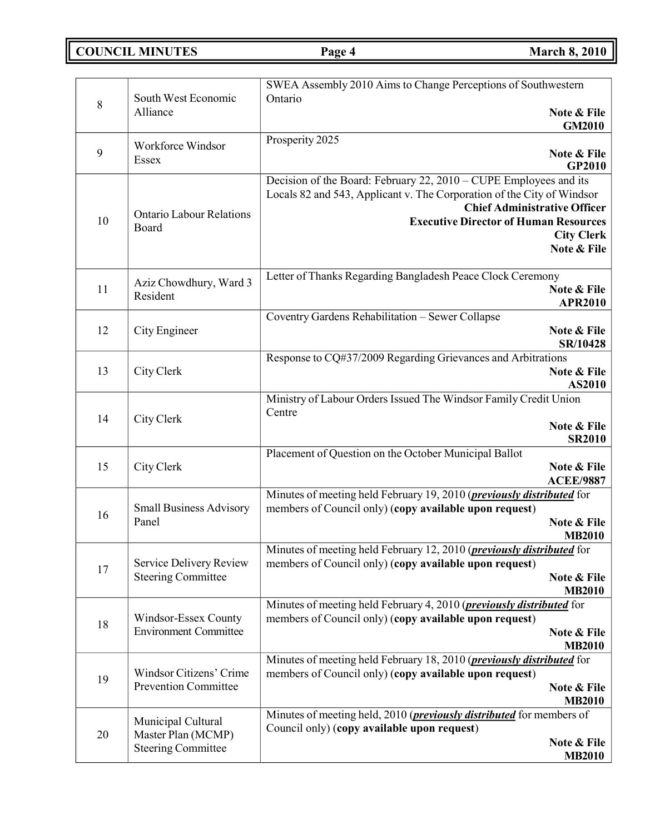**COUNCIL MINUTES Page 4 March 8,** 2010

|    |                                                      | SWEA Assembly 2010 Aims to Change Perceptions of Southwestern                                                                           |
|----|------------------------------------------------------|-----------------------------------------------------------------------------------------------------------------------------------------|
| 8  | South West Economic<br>Alliance                      | Ontario<br>Note & File                                                                                                                  |
|    |                                                      | <b>GM2010</b>                                                                                                                           |
|    | Workforce Windsor                                    | Prosperity 2025                                                                                                                         |
| 9  | Essex                                                | Note & File<br>GP2010                                                                                                                   |
|    |                                                      | Decision of the Board: February 22, 2010 – CUPE Employees and its                                                                       |
|    |                                                      | Locals 82 and 543, Applicant v. The Corporation of the City of Windsor<br><b>Chief Administrative Officer</b>                           |
| 10 | <b>Ontario Labour Relations</b><br>Board             | <b>Executive Director of Human Resources</b>                                                                                            |
|    |                                                      | <b>City Clerk</b><br>Note & File                                                                                                        |
|    |                                                      |                                                                                                                                         |
|    | Aziz Chowdhury, Ward 3                               | Letter of Thanks Regarding Bangladesh Peace Clock Ceremony<br>Note & File                                                               |
| 11 | Resident                                             | <b>APR2010</b>                                                                                                                          |
|    |                                                      | Coventry Gardens Rehabilitation - Sewer Collapse                                                                                        |
| 12 | City Engineer                                        | Note & File<br>SR/10428                                                                                                                 |
|    |                                                      | Response to CQ#37/2009 Regarding Grievances and Arbitrations                                                                            |
| 13 | City Clerk                                           | Note & File<br>AS2010                                                                                                                   |
|    |                                                      | Ministry of Labour Orders Issued The Windsor Family Credit Union                                                                        |
| 14 | City Clerk                                           | Centre                                                                                                                                  |
|    |                                                      | Note & File<br><b>SR2010</b>                                                                                                            |
|    |                                                      | Placement of Question on the October Municipal Ballot                                                                                   |
| 15 | City Clerk                                           | Note & File<br><b>ACEE/9887</b>                                                                                                         |
|    |                                                      | Minutes of meeting held February 19, 2010 ( <i>previously distributed</i> for                                                           |
| 16 | <b>Small Business Advisory</b><br>Panel              | members of Council only) (copy available upon request)                                                                                  |
|    |                                                      | Note & File<br><b>MB2010</b>                                                                                                            |
|    |                                                      | Minutes of meeting held February 12, 2010 ( <i>previously distributed</i> for                                                           |
| 17 | Service Delivery Review<br><b>Steering Committee</b> | members of Council only) (copy available upon request)<br>Note & File                                                                   |
|    |                                                      | <b>MB2010</b>                                                                                                                           |
|    | Windsor-Essex County                                 | Minutes of meeting held February 4, 2010 ( <i>previously distributed</i> for<br>members of Council only) (copy available upon request)  |
| 18 | <b>Environment Committee</b>                         | Note & File                                                                                                                             |
|    |                                                      | <b>MB2010</b>                                                                                                                           |
|    | Windsor Citizens' Crime                              | Minutes of meeting held February 18, 2010 ( <i>previously distributed</i> for<br>members of Council only) (copy available upon request) |
| 19 | <b>Prevention Committee</b>                          | Note & File                                                                                                                             |
|    |                                                      | <b>MB2010</b><br>Minutes of meeting held, 2010 ( <i>previously distributed</i> for members of                                           |
|    | Municipal Cultural                                   | Council only) (copy available upon request)                                                                                             |
| 20 | Master Plan (MCMP)<br><b>Steering Committee</b>      | Note & File                                                                                                                             |
|    |                                                      | <b>MB2010</b>                                                                                                                           |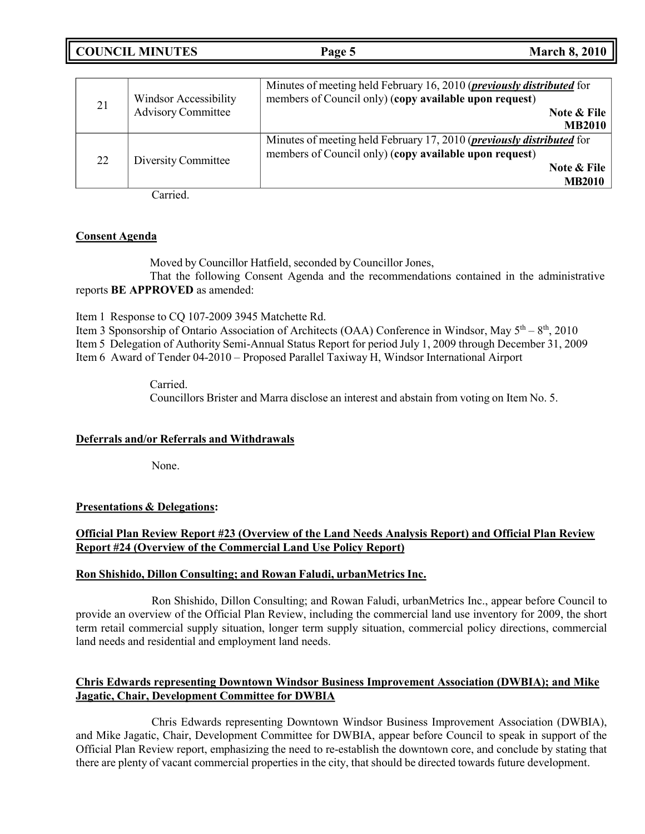|  | <b>COUNCIL MINUTES</b> | Page 5 | <b>March 8, 2010</b> |
|--|------------------------|--------|----------------------|
|--|------------------------|--------|----------------------|

| 21 | <b>Windsor Accessibility</b><br><b>Advisory Committee</b> | Minutes of meeting held February 16, 2010 ( <i>previously distributed</i> for<br>members of Council only) (copy available upon request)<br><b>Note &amp; File</b><br><b>MB2010</b> |
|----|-----------------------------------------------------------|------------------------------------------------------------------------------------------------------------------------------------------------------------------------------------|
| 22 | Diversity Committee                                       | Minutes of meeting held February 17, 2010 ( <i>previously distributed</i> for<br>members of Council only) (copy available upon request)<br>Note & File<br><b>MB2010</b>            |

Carried.

### **Consent Agenda**

Moved by Councillor Hatfield, seconded by Councillor Jones,

That the following Consent Agenda and the recommendations contained in the administrative reports **BE APPROVED** as amended:

Item 1 Response to CQ 107-2009 3945 Matchette Rd.

Item 3 Sponsorship of Ontario Association of Architects (OAA) Conference in Windsor, May  $5<sup>th</sup> - 8<sup>th</sup>$ , 2010 Item 5 Delegation of Authority Semi-Annual Status Report for period July 1, 2009 through December 31, 2009 Item 6 Award of Tender 04-2010 – Proposed Parallel Taxiway H, Windsor International Airport

> Carried. Councillors Brister and Marra disclose an interest and abstain from voting on Item No. 5.

### **Deferrals and/or Referrals and Withdrawals**

None.

### **Presentations & Delegations:**

## **Official Plan Review Report #23 (Overview of the Land Needs Analysis Report) and Official Plan Review Report #24 (Overview of the Commercial Land Use Policy Report)**

#### **Ron Shishido, Dillon Consulting; and Rowan Faludi, urbanMetrics Inc.**

Ron Shishido, Dillon Consulting; and Rowan Faludi, urbanMetrics Inc., appear before Council to provide an overview of the Official Plan Review, including the commercial land use inventory for 2009, the short term retail commercial supply situation, longer term supply situation, commercial policy directions, commercial land needs and residential and employment land needs.

## **Chris Edwards representing Downtown Windsor Business Improvement Association (DWBIA); and Mike Jagatic, Chair, Development Committee for DWBIA**

Chris Edwards representing Downtown Windsor Business Improvement Association (DWBIA), and Mike Jagatic, Chair, Development Committee for DWBIA, appear before Council to speak in support of the Official Plan Review report, emphasizing the need to re-establish the downtown core, and conclude by stating that there are plenty of vacant commercial properties in the city, that should be directed towards future development.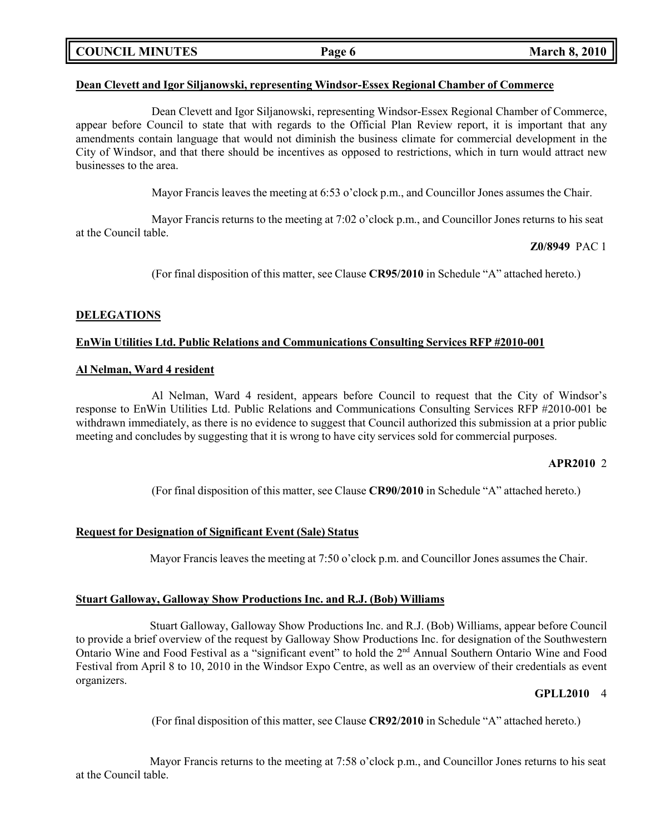|  | <b>COUNCIL MINUTES</b> |
|--|------------------------|
|--|------------------------|

#### **Dean Clevett and Igor Siljanowski, representing Windsor-Essex Regional Chamber of Commerce**

Dean Clevett and Igor Siljanowski, representing Windsor-Essex Regional Chamber of Commerce, appear before Council to state that with regards to the Official Plan Review report, it is important that any amendments contain language that would not diminish the business climate for commercial development in the City of Windsor, and that there should be incentives as opposed to restrictions, which in turn would attract new businesses to the area.

Mayor Francis leaves the meeting at 6:53 o'clock p.m., and Councillor Jones assumes the Chair.

Mayor Francis returns to the meeting at 7:02 o'clock p.m., and Councillor Jones returns to his seat at the Council table.

**Z0/8949** PAC 1

(For final disposition of this matter, see Clause **CR95/2010** in Schedule "A" attached hereto.)

### **DELEGATIONS**

### **EnWin Utilities Ltd. Public Relations and Communications Consulting Services RFP #2010-001**

#### **Al Nelman, Ward 4 resident**

Al Nelman, Ward 4 resident, appears before Council to request that the City of Windsor's response to EnWin Utilities Ltd. Public Relations and Communications Consulting Services RFP #2010-001 be withdrawn immediately, as there is no evidence to suggest that Council authorized this submission at a prior public meeting and concludes by suggesting that it is wrong to have city services sold for commercial purposes.

### **APR2010** 2

(For final disposition of this matter, see Clause **CR90/2010** in Schedule "A" attached hereto.)

### **Request for Designation of Significant Event (Sale) Status**

Mayor Francis leaves the meeting at 7:50 o'clock p.m. and Councillor Jones assumes the Chair.

### **Stuart Galloway, Galloway Show Productions Inc. and R.J. (Bob) Williams**

Stuart Galloway, Galloway Show Productions Inc. and R.J. (Bob) Williams, appear before Council to provide a brief overview of the request by Galloway Show Productions Inc. for designation of the Southwestern Ontario Wine and Food Festival as a "significant event" to hold the 2<sup>nd</sup> Annual Southern Ontario Wine and Food Festival from April 8 to 10, 2010 in the Windsor Expo Centre, as well as an overview of their credentials as event organizers.

### **GPLL2010** 4

(For final disposition of this matter, see Clause **CR92/2010** in Schedule "A" attached hereto.)

Mayor Francis returns to the meeting at 7:58 o'clock p.m., and Councillor Jones returns to his seat at the Council table.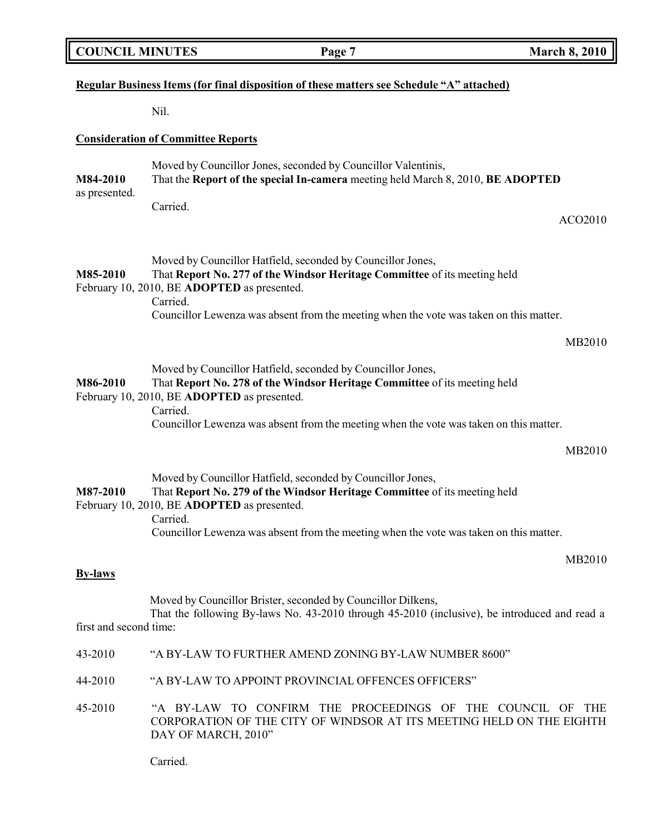|  | <b>COUNCIL MINUTES</b> |
|--|------------------------|
|--|------------------------|

# **Regular Business Items (for final disposition of these matters see Schedule "A" attached)**

Nil.

# **Consideration of Committee Reports**

|                           | Consideration of Committee response                                                                                                                                                                                                                                                           |
|---------------------------|-----------------------------------------------------------------------------------------------------------------------------------------------------------------------------------------------------------------------------------------------------------------------------------------------|
| M84-2010<br>as presented. | Moved by Councillor Jones, seconded by Councillor Valentinis,<br>That the Report of the special In-camera meeting held March 8, 2010, BE ADOPTED                                                                                                                                              |
|                           | Carried.<br>ACO2010                                                                                                                                                                                                                                                                           |
| M85-2010                  | Moved by Councillor Hatfield, seconded by Councillor Jones,<br>That Report No. 277 of the Windsor Heritage Committee of its meeting held<br>February 10, 2010, BE ADOPTED as presented.<br>Carried.<br>Councillor Lewenza was absent from the meeting when the vote was taken on this matter. |
|                           | MB2010                                                                                                                                                                                                                                                                                        |
| M86-2010                  | Moved by Councillor Hatfield, seconded by Councillor Jones,<br>That Report No. 278 of the Windsor Heritage Committee of its meeting held<br>February 10, 2010, BE ADOPTED as presented.<br>Carried.                                                                                           |
|                           | Councillor Lewenza was absent from the meeting when the vote was taken on this matter.                                                                                                                                                                                                        |
|                           | MB2010                                                                                                                                                                                                                                                                                        |
| M87-2010                  | Moved by Councillor Hatfield, seconded by Councillor Jones,<br>That Report No. 279 of the Windsor Heritage Committee of its meeting held<br>February 10, 2010, BE ADOPTED as presented.<br>Carried.                                                                                           |
|                           | Councillor Lewenza was absent from the meeting when the vote was taken on this matter.                                                                                                                                                                                                        |
|                           | MB2010                                                                                                                                                                                                                                                                                        |
| <b>By-laws</b>            |                                                                                                                                                                                                                                                                                               |
| first and second time:    | Moved by Councillor Brister, seconded by Councillor Dilkens,<br>That the following By-laws No. 43-2010 through 45-2010 (inclusive), be introduced and read a                                                                                                                                  |
| 43-2010                   | "A BY-LAW TO FURTHER AMEND ZONING BY-LAW NUMBER 8600"                                                                                                                                                                                                                                         |
| 44-2010                   | "A BY-LAW TO APPOINT PROVINCIAL OFFENCES OFFICERS"                                                                                                                                                                                                                                            |
|                           | 45.2010 . "A DV LAW TO CONFIDM THE DROCEEDINGS OF THE COUNCIL OF THE                                                                                                                                                                                                                          |

45-2010 "A BY-LAW TO CONFIRM THE PROCEEDINGS OF THE COUNCIL OF THE CORPORATION OF THE CITY OF WINDSOR AT ITS MEETING HELD ON THE EIGHTH DAY OF MARCH, 2010"

Carried.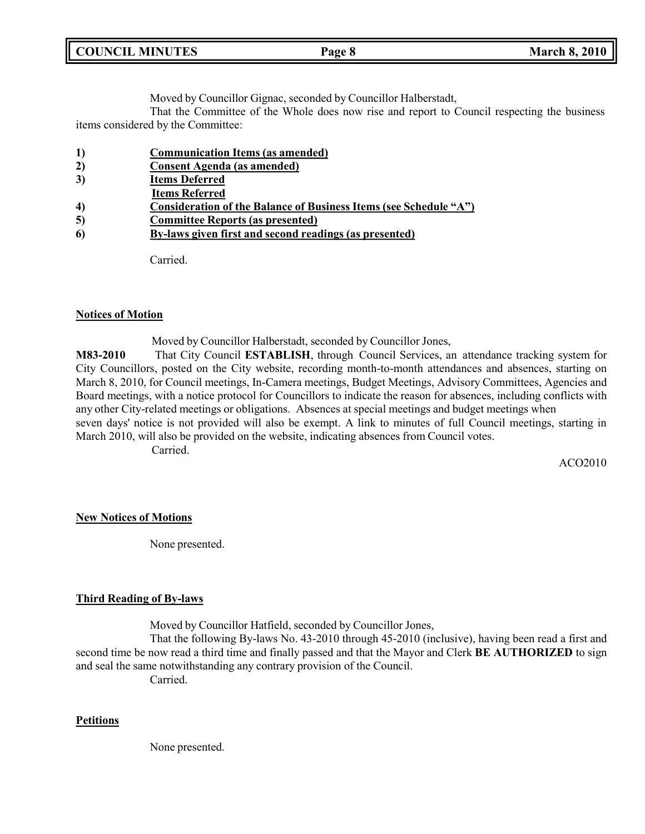| <b>COUNCIL</b><br><b>MINUTES</b> | Page 8 | 2010<br>March<br>8.1 |
|----------------------------------|--------|----------------------|
|                                  |        |                      |

Moved by Councillor Gignac, seconded by Councillor Halberstadt,

That the Committee of the Whole does now rise and report to Council respecting the business items considered by the Committee:

- **1) Communication Items (as amended)**
- **2) Consent Agenda (as amended)**
- **3) Items Deferred**
- **Items Referred**
- **4) Consideration of the Balance of Business Items (see Schedule "A")**
- **5) Committee Reports (as presented)**
- **6) By-laws given first and second readings (as presented)**

Carried.

#### **Notices of Motion**

Moved by Councillor Halberstadt, seconded by Councillor Jones,

**M83-2010** That City Council **ESTABLISH**, through Council Services, an attendance tracking system for City Councillors, posted on the City website, recording month-to-month attendances and absences, starting on March 8, 2010, for Council meetings, In-Camera meetings, Budget Meetings, Advisory Committees, Agencies and Board meetings, with a notice protocol for Councillors to indicate the reason for absences, including conflicts with any other City-related meetings or obligations. Absences at special meetings and budget meetings when seven days' notice is not provided will also be exempt. A link to minutes of full Council meetings, starting in March 2010, will also be provided on the website, indicating absences from Council votes.

Carried.

ACO2010

#### **New Notices of Motions**

None presented.

### **Third Reading of By-laws**

Moved by Councillor Hatfield, seconded by Councillor Jones,

That the following By-laws No. 43-2010 through 45-2010 (inclusive), having been read a first and second time be now read a third time and finally passed and that the Mayor and Clerk **BE AUTHORIZED** to sign and seal the same notwithstanding any contrary provision of the Council.

Carried.

#### **Petitions**

None presented.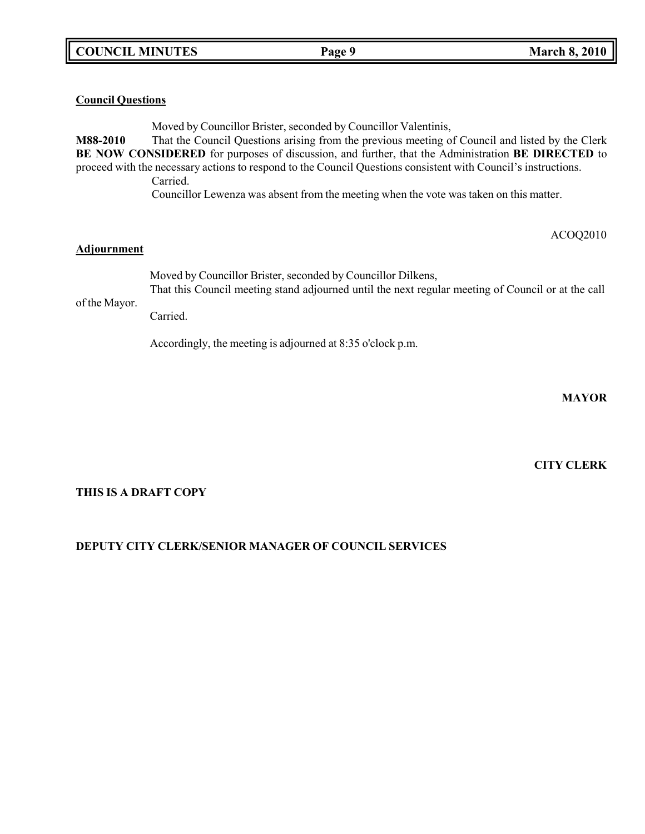### **Council Questions**

Moved by Councillor Brister, seconded by Councillor Valentinis, **M88-2010** That the Council Questions arising from the previous meeting of Council and listed by the Clerk **BE NOW CONSIDERED** for purposes of discussion, and further, that the Administration **BE DIRECTED** to proceed with the necessary actions to respond to the Council Questions consistent with Council's instructions. Carried.

Councillor Lewenza was absent from the meeting when the vote was taken on this matter.

#### ACOQ2010

#### **Adjournment**

Moved by Councillor Brister, seconded by Councillor Dilkens, That this Council meeting stand adjourned until the next regular meeting of Council or at the call

of the Mayor.

Carried.

Accordingly, the meeting is adjourned at 8:35 o'clock p.m.

**MAYOR**

### **CITY CLERK**

### **THIS IS A DRAFT COPY**

## **DEPUTY CITY CLERK/SENIOR MANAGER OF COUNCIL SERVICES**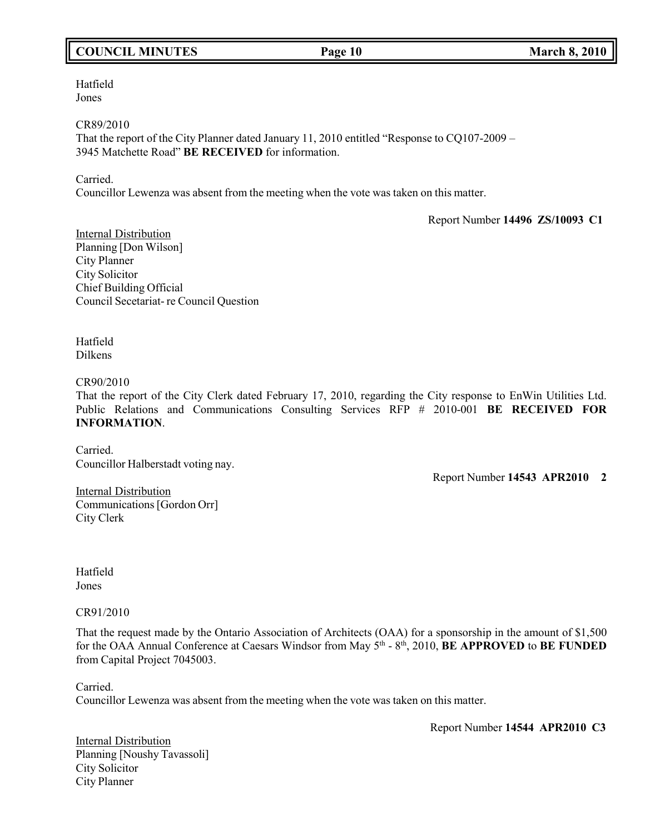# **COUNCIL MINUTES Page 10 March 8, 2010**

Hatfield Jones

CR89/2010

That the report of the City Planner dated January 11, 2010 entitled "Response to CQ107-2009 – 3945 Matchette Road" **BE RECEIVED** for information.

Carried.

Councillor Lewenza was absent from the meeting when the vote was taken on this matter.

Report Number **14496 ZS/10093 C1**

Internal Distribution Planning [Don Wilson] City Planner City Solicitor Chief Building Official Council Secetariat- re Council Question

Hatfield Dilkens

CR90/2010

That the report of the City Clerk dated February 17, 2010, regarding the City response to EnWin Utilities Ltd. Public Relations and Communications Consulting Services RFP # 2010-001 **BE RECEIVED FOR INFORMATION**.

Carried. Councillor Halberstadt voting nay.

Report Number **14543 APR2010 2**

Internal Distribution Communications[Gordon Orr] City Clerk

Hatfield Jones

CR91/2010

That the request made by the Ontario Association of Architects (OAA) for a sponsorship in the amount of \$1,500 for the OAA Annual Conference at Caesars Windsor from May 5<sup>th</sup> - 8<sup>th</sup>, 2010, **BE APPROVED** to **BE FUNDED** from Capital Project 7045003.

Carried.

Councillor Lewenza was absent from the meeting when the vote was taken on this matter.

Report Number **14544 APR2010 C3**

**Internal Distribution** Planning [Noushy Tavassoli] City Solicitor City Planner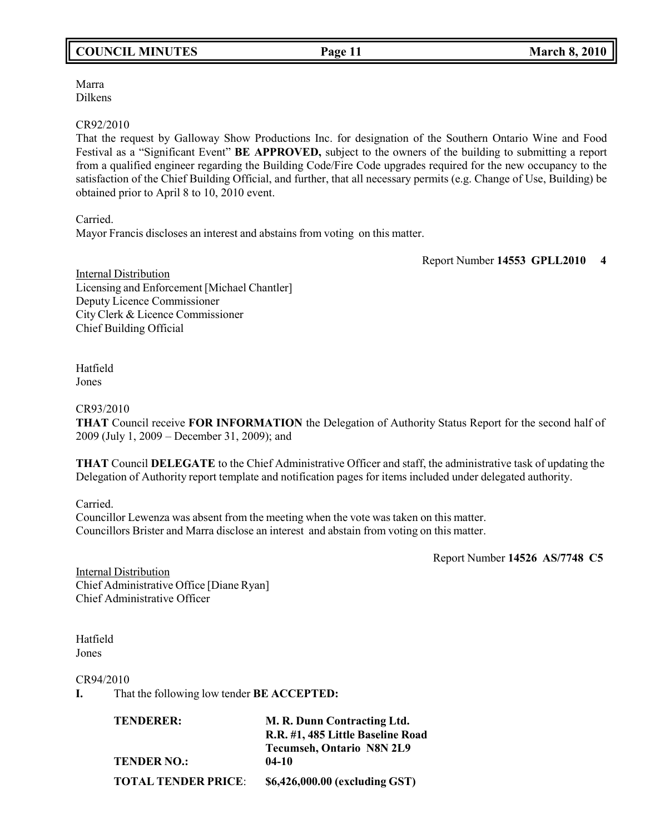Marra Dilkens

#### CR92/2010

That the request by Galloway Show Productions Inc. for designation of the Southern Ontario Wine and Food Festival as a "Significant Event" **BE APPROVED,** subject to the owners of the building to submitting a report from a qualified engineer regarding the Building Code/Fire Code upgrades required for the new occupancy to the satisfaction of the Chief Building Official, and further, that all necessary permits (e.g. Change of Use, Building) be obtained prior to April 8 to 10, 2010 event.

Carried.

Mayor Francis discloses an interest and abstains from voting on this matter.

Report Number **14553 GPLL2010 4**

Internal Distribution Licensing and Enforcement [Michael Chantler] Deputy Licence Commissioner City Clerk & Licence Commissioner Chief Building Official

Hatfield Jones

CR93/2010

**THAT** Council receive **FOR INFORMATION** the Delegation of Authority Status Report for the second half of 2009 (July 1, 2009 – December 31, 2009); and

**THAT** Council **DELEGATE** to the Chief Administrative Officer and staff, the administrative task of updating the Delegation of Authority report template and notification pages for items included under delegated authority.

Carried.

Councillor Lewenza was absent from the meeting when the vote was taken on this matter. Councillors Brister and Marra disclose an interest and abstain from voting on this matter.

Report Number **14526 AS/7748 C5**

**Internal Distribution** Chief Administrative Office [Diane Ryan] Chief Administrative Officer

Hatfield Jones

CR94/2010

**I.** That the following low tender **BE ACCEPTED:**

| <b>TENDERER:</b>           | M. R. Dunn Contracting Ltd.       |  |
|----------------------------|-----------------------------------|--|
|                            | R.R. #1, 485 Little Baseline Road |  |
|                            | <b>Tecumseh, Ontario N8N 2L9</b>  |  |
| <b>TENDER NO.:</b>         | $04-10$                           |  |
| <b>TOTAL TENDER PRICE:</b> | \$6,426,000.00 (excluding GST)    |  |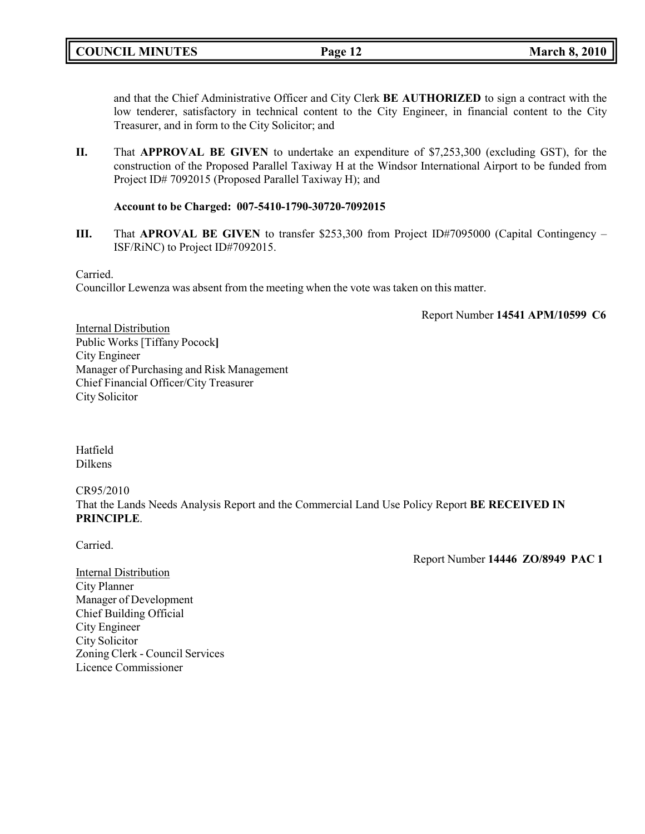and that the Chief Administrative Officer and City Clerk **BE AUTHORIZED** to sign a contract with the low tenderer, satisfactory in technical content to the City Engineer, in financial content to the City Treasurer, and in form to the City Solicitor; and

**II.** That **APPROVAL BE GIVEN** to undertake an expenditure of \$7,253,300 (excluding GST), for the construction of the Proposed Parallel Taxiway H at the Windsor International Airport to be funded from Project ID# 7092015 (Proposed Parallel Taxiway H); and

### **Account to be Charged: 007-5410-1790-30720-7092015**

**III.** That **APROVAL BE GIVEN** to transfer \$253,300 from Project ID#7095000 (Capital Contingency – ISF/RiNC) to Project ID#7092015.

Carried.

Councillor Lewenza was absent from the meeting when the vote was taken on this matter.

Report Number **14541 APM/10599 C6**

**Internal Distribution** Public Works [Tiffany Pocock**]** City Engineer Manager of Purchasing and Risk Management Chief Financial Officer/City Treasurer City Solicitor

Hatfield Dilkens

CR95/2010

That the Lands Needs Analysis Report and the Commercial Land Use Policy Report **BE RECEIVED IN PRINCIPLE**.

Carried.

Report Number **14446 ZO/8949 PAC 1**

**Internal Distribution** City Planner Manager of Development Chief Building Official City Engineer City Solicitor Zoning Clerk - Council Services Licence Commissioner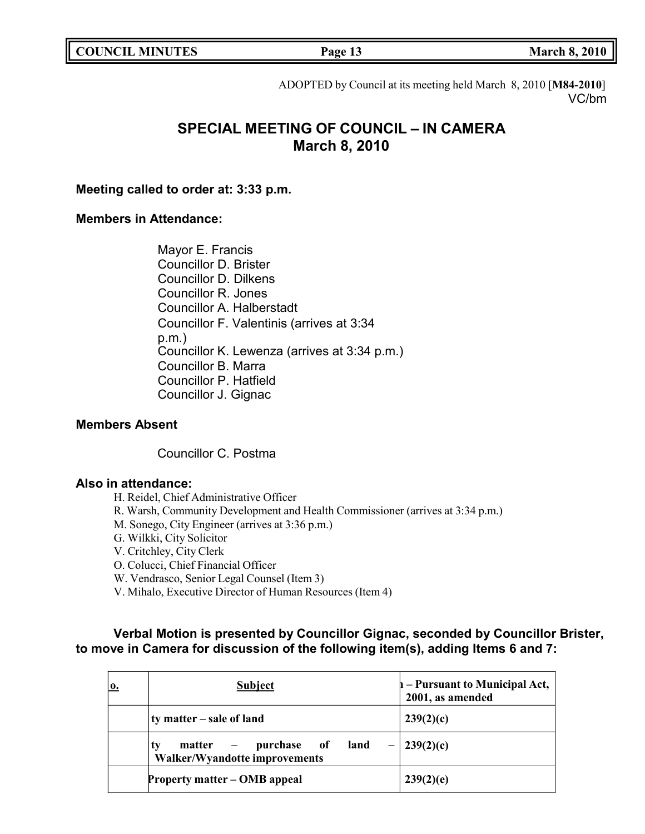**COUNCIL MINUTES Page 13 March 8, 2010**

ADOPTED by Council at its meeting held March 8, 2010 [**M84-2010**] VC/bm

# **SPECIAL MEETING OF COUNCIL – IN CAMERA March 8, 2010**

**Meeting called to order at: 3:33 p.m.**

## **Members in Attendance:**

Mayor E. Francis Councillor D. Brister Councillor D. Dilkens Councillor R. Jones Councillor A. Halberstadt Councillor F. Valentinis (arrives at 3:34 p.m.) Councillor K. Lewenza (arrives at 3:34 p.m.) Councillor B. Marra Councillor P. Hatfield Councillor J. Gignac

## **Members Absent**

Councillor C. Postma

### **Also in attendance:**

H. Reidel, Chief Administrative Officer

- R. Warsh, Community Development and Health Commissioner (arrives at 3:34 p.m.)
- M. Sonego, City Engineer (arrives at 3:36 p.m.)
- G. Wilkki, City Solicitor

V. Critchley, City Clerk

O. Colucci, Chief Financial Officer

W. Vendrasco, Senior Legal Counsel (Item 3)

V. Mihalo, Executive Director of Human Resources (Item 4)

# **Verbal Motion is presented by Councillor Gignac, seconded by Councillor Brister, to move in Camera for discussion of the following item(s), adding Items 6 and 7:**

| 0. | <b>Subject</b>                                                             | $\mathbf{h}$ – Pursuant to Municipal Act,<br>2001, as amended |
|----|----------------------------------------------------------------------------|---------------------------------------------------------------|
|    | ty matter – sale of land                                                   | 239(2)(c)                                                     |
|    | matter – purchase of<br>land<br>ty<br><b>Walker/Wyandotte improvements</b> | $-$ 239(2)(c)                                                 |
|    | Property matter – OMB appeal                                               | 239(2)(e)                                                     |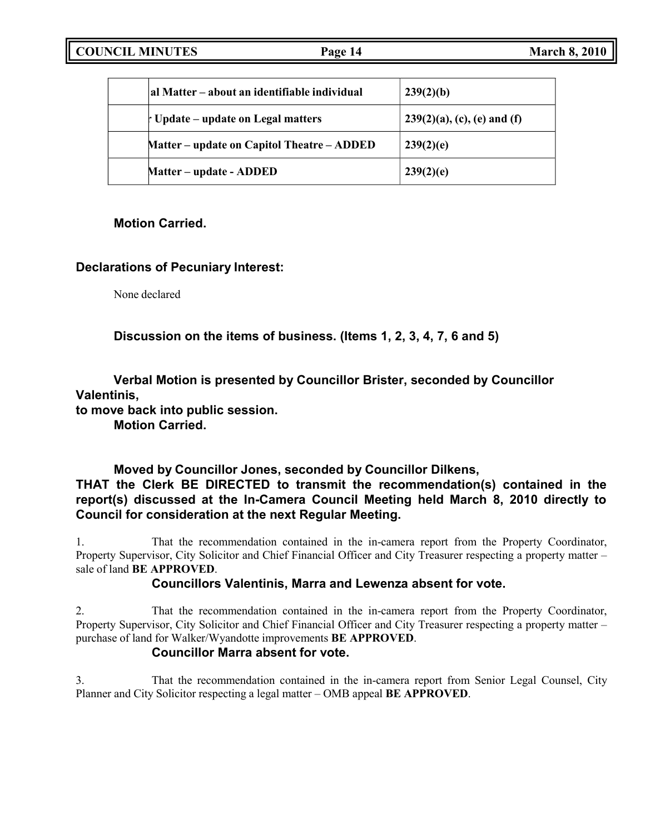| al Matter – about an identifiable individual | 239(2)(b)                      |
|----------------------------------------------|--------------------------------|
| t Update – update on Legal matters           | $239(2)(a)$ , (c), (e) and (f) |
| Matter – update on Capitol Theatre – ADDED   | 239(2)(e)                      |
| Matter – update - ADDED                      | 239(2)(e)                      |

# **Motion Carried.**

# **Declarations of Pecuniary Interest:**

None declared

**Discussion on the items of business. (Items 1, 2, 3, 4, 7, 6 and 5)**

**Verbal Motion is presented by Councillor Brister, seconded by Councillor Valentinis,**

**to move back into public session.**

**Motion Carried.**

# **Moved by Councillor Jones, seconded by Councillor Dilkens, THAT the Clerk BE DIRECTED to transmit the recommendation(s) contained in the report(s) discussed at the In-Camera Council Meeting held March 8, 2010 directly to Council for consideration at the next Regular Meeting.**

1. That the recommendation contained in the in-camera report from the Property Coordinator, Property Supervisor, City Solicitor and Chief Financial Officer and City Treasurer respecting a property matter – sale of land **BE APPROVED**.

# **Councillors Valentinis, Marra and Lewenza absent for vote.**

2. That the recommendation contained in the in-camera report from the Property Coordinator, Property Supervisor, City Solicitor and Chief Financial Officer and City Treasurer respecting a property matter – purchase of land for Walker/Wyandotte improvements **BE APPROVED**.

# **Councillor Marra absent for vote.**

3. That the recommendation contained in the in-camera report from Senior Legal Counsel, City Planner and City Solicitor respecting a legal matter – OMB appeal **BE APPROVED**.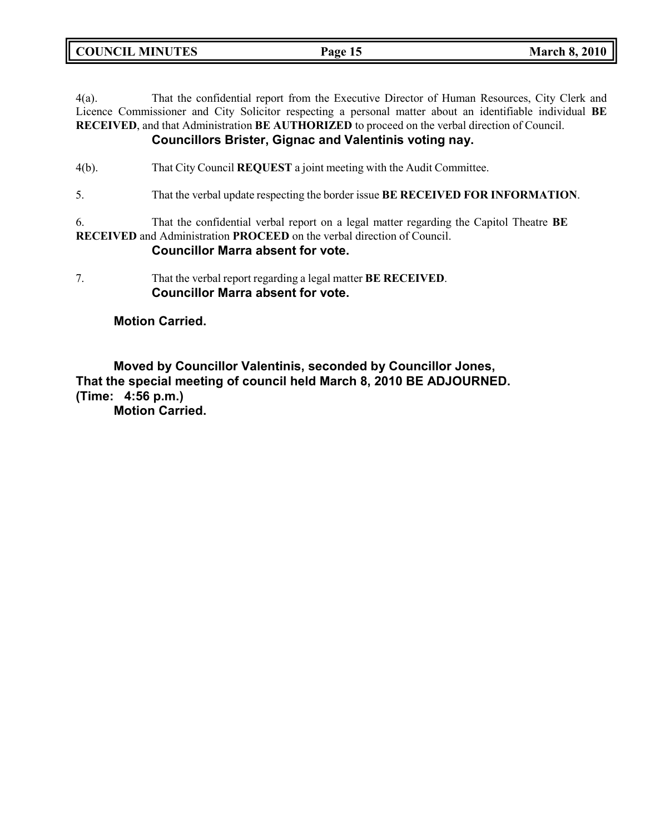**COUNCIL MINUTES Page 15 March 8, 2010**

4(a). That the confidential report from the Executive Director of Human Resources, City Clerk and Licence Commissioner and City Solicitor respecting a personal matter about an identifiable individual **BE RECEIVED**, and that Administration **BE AUTHORIZED** to proceed on the verbal direction of Council. **Councillors Brister, Gignac and Valentinis voting nay.**

# 4(b). That City Council **REQUEST** a joint meeting with the Audit Committee.

5. That the verbal update respecting the border issue **BE RECEIVED FOR INFORMATION**.

6. That the confidential verbal report on a legal matter regarding the Capitol Theatre **BE RECEIVED** and Administration **PROCEED** on the verbal direction of Council.

## **Councillor Marra absent for vote.**

7. That the verbal report regarding a legal matter **BE RECEIVED**. **Councillor Marra absent for vote.**

### **Motion Carried.**

**Moved by Councillor Valentinis, seconded by Councillor Jones, That the special meeting of council held March 8, 2010 BE ADJOURNED. (Time: 4:56 p.m.)**

**Motion Carried.**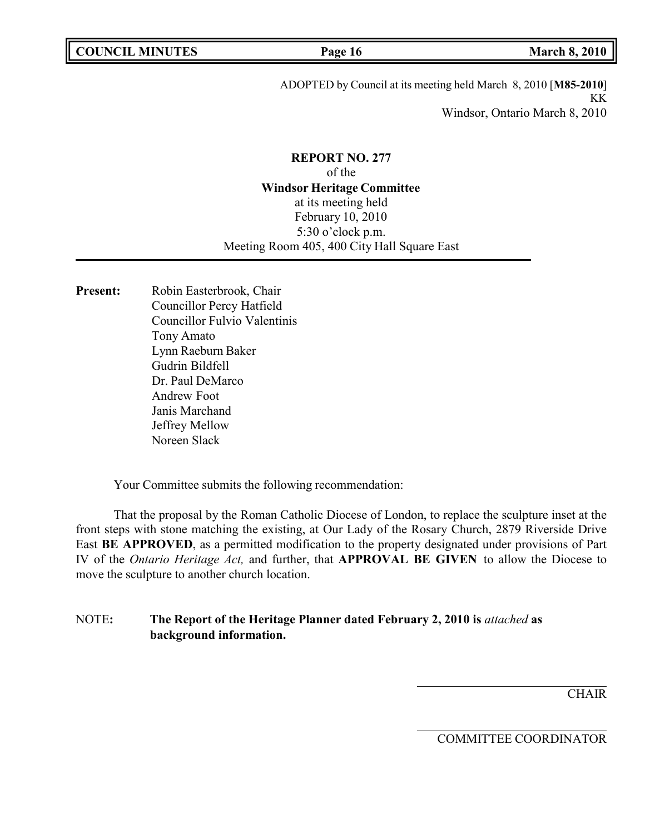ADOPTED by Council at its meeting held March 8, 2010 [**M85-2010**] KK Windsor, Ontario March 8, 2010

**REPORT NO. 277** of the **Windsor Heritage Committee** at its meeting held February 10, 2010 5:30 o'clock p.m. Meeting Room 405, 400 City Hall Square East

Present: Robin Easterbrook, Chair Councillor Percy Hatfield Councillor Fulvio Valentinis Tony Amato Lynn Raeburn Baker Gudrin Bildfell Dr. Paul DeMarco Andrew Foot Janis Marchand Jeffrey Mellow Noreen Slack

Your Committee submits the following recommendation:

That the proposal by the Roman Catholic Diocese of London, to replace the sculpture inset at the front steps with stone matching the existing, at Our Lady of the Rosary Church, 2879 Riverside Drive East **BE APPROVED**, as a permitted modification to the property designated under provisions of Part IV of the *Ontario Heritage Act,* and further, that **APPROVAL BE GIVEN** to allow the Diocese to move the sculpture to another church location.

# NOTE**: The Report of the Heritage Planner dated February 2, 2010 is** *attached* **as background information.**

**CHAIR** 

COMMITTEE COORDINATOR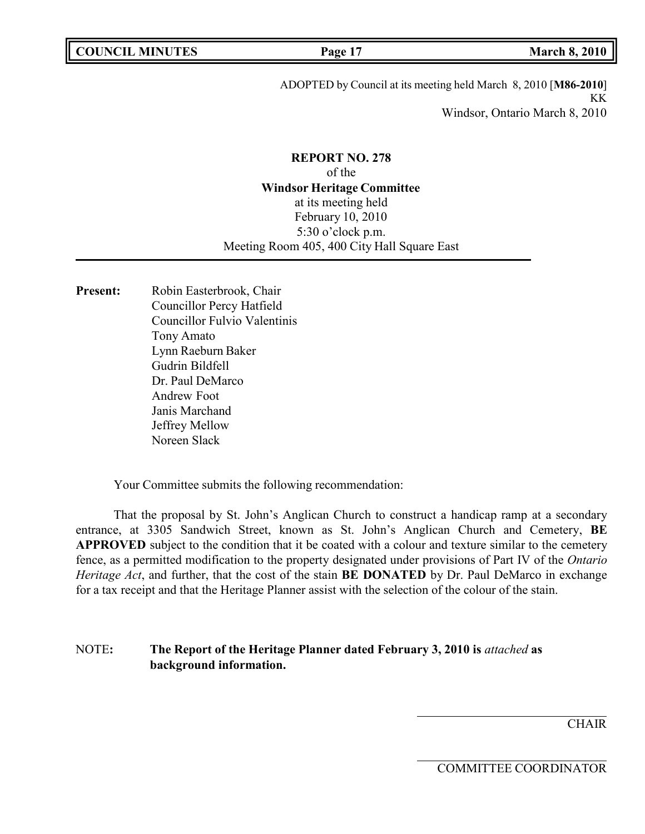ADOPTED by Council at its meeting held March 8, 2010 [**M86-2010**] KK Windsor, Ontario March 8, 2010

**REPORT NO. 278** of the **Windsor Heritage Committee** at its meeting held February 10, 2010 5:30 o'clock p.m. Meeting Room 405, 400 City Hall Square East

Present: Robin Easterbrook, Chair Councillor Percy Hatfield Councillor Fulvio Valentinis Tony Amato Lynn Raeburn Baker Gudrin Bildfell Dr. Paul DeMarco Andrew Foot Janis Marchand Jeffrey Mellow Noreen Slack

Your Committee submits the following recommendation:

That the proposal by St. John's Anglican Church to construct a handicap ramp at a secondary entrance, at 3305 Sandwich Street, known as St. John's Anglican Church and Cemetery, **BE APPROVED** subject to the condition that it be coated with a colour and texture similar to the cemetery fence, as a permitted modification to the property designated under provisions of Part IV of the *Ontario Heritage Act*, and further, that the cost of the stain **BE DONATED** by Dr. Paul DeMarco in exchange for a tax receipt and that the Heritage Planner assist with the selection of the colour of the stain.

NOTE**: The Report of the Heritage Planner dated February 3, 2010 is** *attached* **as background information.**

**CHAIR** 

COMMITTEE COORDINATOR